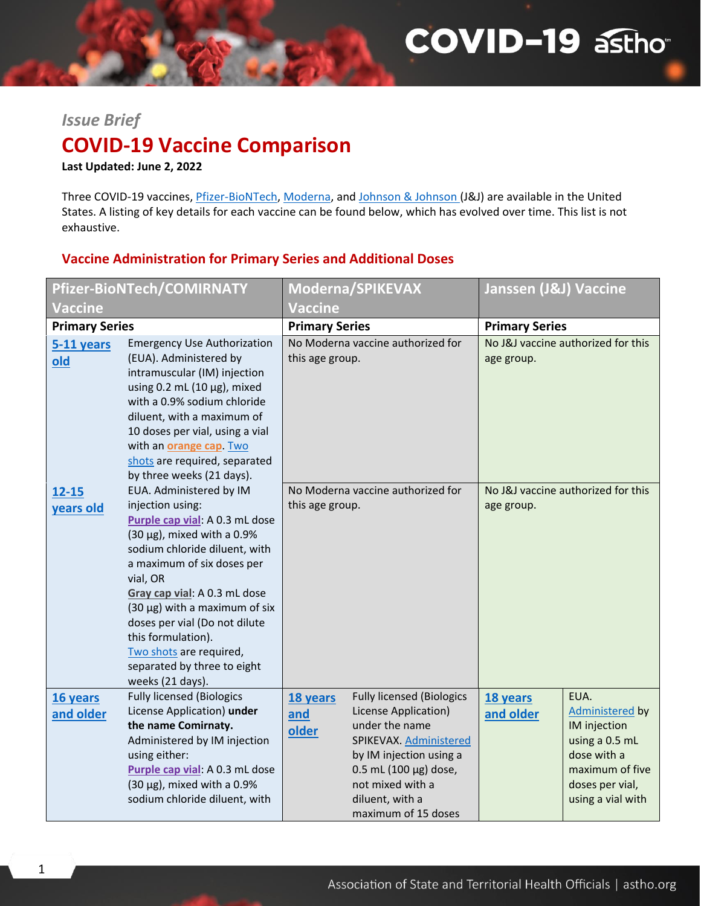# **COVID-19 asthor**

### *Issue Brief*

# **COVID-19 Vaccine Comparison**

**Last Updated: June 2, 2022**

Three COVID-19 vaccines, *[Pfizer-BioNTech,](https://www.fda.gov/emergency-preparedness-and-response/coronavirus-disease-2019-covid-19/comirnaty-and-pfizer-biontech-covid-19-vaccine#additional) [Moderna,](https://www.fda.gov/emergency-preparedness-and-response/coronavirus-disease-2019-covid-19/moderna-covid-19-vaccine#additional) an[d Johnson & Johnson](https://www.fda.gov/emergency-preparedness-and-response/coronavirus-disease-2019-covid-19/janssen-covid-19-vaccine#additional) (J&J)* are available in the United States. A listing of key details for each vaccine can be found below, which has evolved over time. This list is not exhaustive.

#### **Vaccine Administration for Primary Series and Additional Doses**

| Pfizer-BioNTech/COMIRNATY |                                                                                                                                                                                                                                                                                                                                                                                                           |                          | Moderna/SPIKEVAX                                                                                                                                                                                                         | Janssen (J&J) Vaccine |                                                                                                                                     |
|---------------------------|-----------------------------------------------------------------------------------------------------------------------------------------------------------------------------------------------------------------------------------------------------------------------------------------------------------------------------------------------------------------------------------------------------------|--------------------------|--------------------------------------------------------------------------------------------------------------------------------------------------------------------------------------------------------------------------|-----------------------|-------------------------------------------------------------------------------------------------------------------------------------|
| <b>Vaccine</b>            |                                                                                                                                                                                                                                                                                                                                                                                                           | <b>Vaccine</b>           |                                                                                                                                                                                                                          |                       |                                                                                                                                     |
| <b>Primary Series</b>     |                                                                                                                                                                                                                                                                                                                                                                                                           | <b>Primary Series</b>    |                                                                                                                                                                                                                          | <b>Primary Series</b> |                                                                                                                                     |
| 5-11 years<br>old         | <b>Emergency Use Authorization</b><br>(EUA). Administered by<br>intramuscular (IM) injection<br>using 0.2 mL (10 $\mu$ g), mixed<br>with a 0.9% sodium chloride<br>diluent, with a maximum of<br>10 doses per vial, using a vial<br>with an <b>orange cap</b> Two<br>shots are required, separated<br>by three weeks (21 days).                                                                           | this age group.          | No Moderna vaccine authorized for                                                                                                                                                                                        | age group.            | No J&J vaccine authorized for this                                                                                                  |
| $12 - 15$<br>years old    | EUA. Administered by IM<br>injection using:<br>Purple cap vial: A 0.3 mL dose<br>$(30 \,\mu g)$ , mixed with a 0.9%<br>sodium chloride diluent, with<br>a maximum of six doses per<br>vial, OR<br>Gray cap vial: A 0.3 mL dose<br>$(30 \mu g)$ with a maximum of six<br>doses per vial (Do not dilute<br>this formulation).<br>Two shots are required,<br>separated by three to eight<br>weeks (21 days). | this age group.          | No Moderna vaccine authorized for                                                                                                                                                                                        | age group.            | No J&J vaccine authorized for this                                                                                                  |
| 16 years<br>and older     | <b>Fully licensed (Biologics</b><br>License Application) under<br>the name Comirnaty.<br>Administered by IM injection<br>using either:<br>Purple cap vial: A 0.3 mL dose<br>$(30 \mu g)$ , mixed with a 0.9%<br>sodium chloride diluent, with                                                                                                                                                             | 18 years<br>and<br>older | <b>Fully licensed (Biologics</b><br>License Application)<br>under the name<br>SPIKEVAX. Administered<br>by IM injection using a<br>$0.5$ mL (100 µg) dose,<br>not mixed with a<br>diluent, with a<br>maximum of 15 doses | 18 years<br>and older | EUA.<br>Administered by<br>IM injection<br>using a 0.5 mL<br>dose with a<br>maximum of five<br>doses per vial,<br>using a vial with |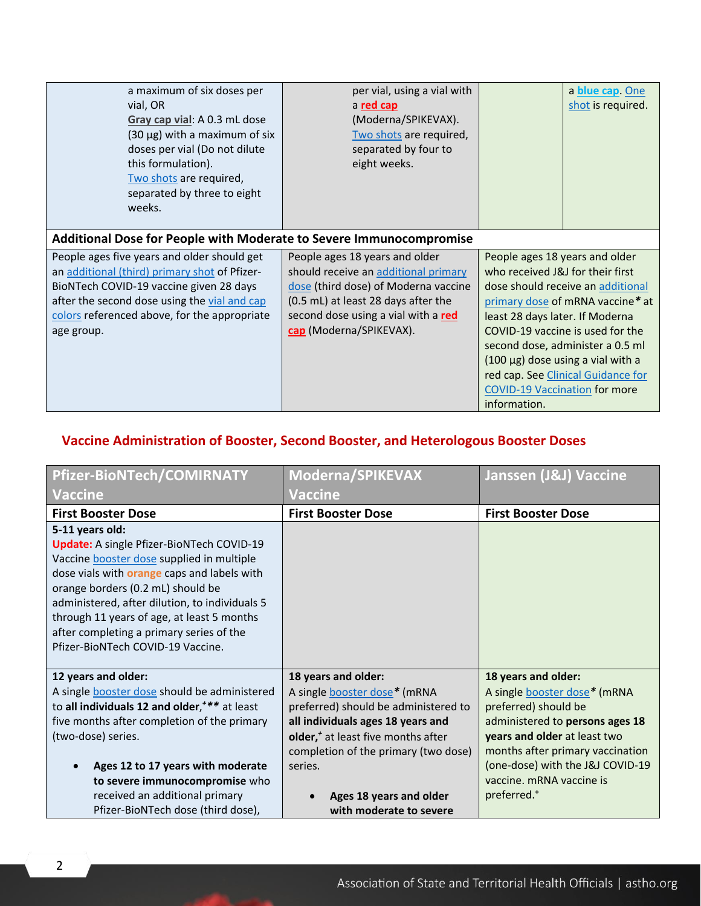| a maximum of six doses per<br>vial, OR<br>Gray cap vial: A 0.3 mL dose<br>$(30 \mu g)$ with a maximum of six<br>doses per vial (Do not dilute<br>this formulation).<br>Two shots are required,<br>separated by three to eight<br>weeks.               | per vial, using a vial with<br>a red cap<br>(Moderna/SPIKEVAX).<br>Two shots are required,<br>separated by four to<br>eight weeks.                                                                                      | a blue cap. One<br>shot is required.                                                                                                                                                                                                                                                                                                                                                           |  |  |  |
|-------------------------------------------------------------------------------------------------------------------------------------------------------------------------------------------------------------------------------------------------------|-------------------------------------------------------------------------------------------------------------------------------------------------------------------------------------------------------------------------|------------------------------------------------------------------------------------------------------------------------------------------------------------------------------------------------------------------------------------------------------------------------------------------------------------------------------------------------------------------------------------------------|--|--|--|
| <b>Additional Dose for People with Moderate to Severe Immunocompromise</b>                                                                                                                                                                            |                                                                                                                                                                                                                         |                                                                                                                                                                                                                                                                                                                                                                                                |  |  |  |
| People ages five years and older should get<br>an additional (third) primary shot of Pfizer-<br>BioNTech COVID-19 vaccine given 28 days<br>after the second dose using the vial and cap<br>colors referenced above, for the appropriate<br>age group. | People ages 18 years and older<br>should receive an additional primary<br>dose (third dose) of Moderna vaccine<br>(0.5 mL) at least 28 days after the<br>second dose using a vial with a red<br>cap (Moderna/SPIKEVAX). | People ages 18 years and older<br>who received J&J for their first<br>dose should receive an additional<br>primary dose of mRNA vaccine* at<br>least 28 days later. If Moderna<br>COVID-19 vaccine is used for the<br>second dose, administer a 0.5 ml<br>$(100 \mu g)$ dose using a vial with a<br>red cap. See Clinical Guidance for<br><b>COVID-19 Vaccination for more</b><br>information. |  |  |  |

## **Vaccine Administration of Booster, Second Booster, and Heterologous Booster Doses**

| <b>Pfizer-BioNTech/COMIRNATY</b>                                                                                                                                                                                                                                                                                                                                                             | Moderna/SPIKEVAX                                                                                                                                                                                                                                                                                   | Janssen (J&J) Vaccine                                                                                                                                                                                                                                                                |
|----------------------------------------------------------------------------------------------------------------------------------------------------------------------------------------------------------------------------------------------------------------------------------------------------------------------------------------------------------------------------------------------|----------------------------------------------------------------------------------------------------------------------------------------------------------------------------------------------------------------------------------------------------------------------------------------------------|--------------------------------------------------------------------------------------------------------------------------------------------------------------------------------------------------------------------------------------------------------------------------------------|
| <b>Vaccine</b>                                                                                                                                                                                                                                                                                                                                                                               | <b>Vaccine</b>                                                                                                                                                                                                                                                                                     |                                                                                                                                                                                                                                                                                      |
| <b>First Booster Dose</b>                                                                                                                                                                                                                                                                                                                                                                    | <b>First Booster Dose</b>                                                                                                                                                                                                                                                                          | <b>First Booster Dose</b>                                                                                                                                                                                                                                                            |
| 5-11 years old:<br><b>Update:</b> A single Pfizer-BioNTech COVID-19<br>Vaccine booster dose supplied in multiple<br>dose vials with <b>orange</b> caps and labels with<br>orange borders (0.2 mL) should be<br>administered, after dilution, to individuals 5<br>through 11 years of age, at least 5 months<br>after completing a primary series of the<br>Pfizer-BioNTech COVID-19 Vaccine. |                                                                                                                                                                                                                                                                                                    |                                                                                                                                                                                                                                                                                      |
| 12 years and older:<br>A single <b>booster</b> dose should be administered<br>to all individuals 12 and older, *** at least<br>five months after completion of the primary<br>(two-dose) series.<br>Ages 12 to 17 years with moderate<br>to severe immunocompromise who<br>received an additional primary<br>Pfizer-BioNTech dose (third dose),                                              | 18 years and older:<br>A single <b>booster</b> dose* (mRNA<br>preferred) should be administered to<br>all individuals ages 18 years and<br>older, <sup>+</sup> at least five months after<br>completion of the primary (two dose)<br>series.<br>Ages 18 years and older<br>with moderate to severe | 18 years and older:<br>A single <b>booster</b> dose* (mRNA<br>preferred) should be<br>administered to persons ages 18<br>years and older at least two<br>months after primary vaccination<br>(one-dose) with the J&J COVID-19<br>vaccine. mRNA vaccine is<br>preferred. <sup>+</sup> |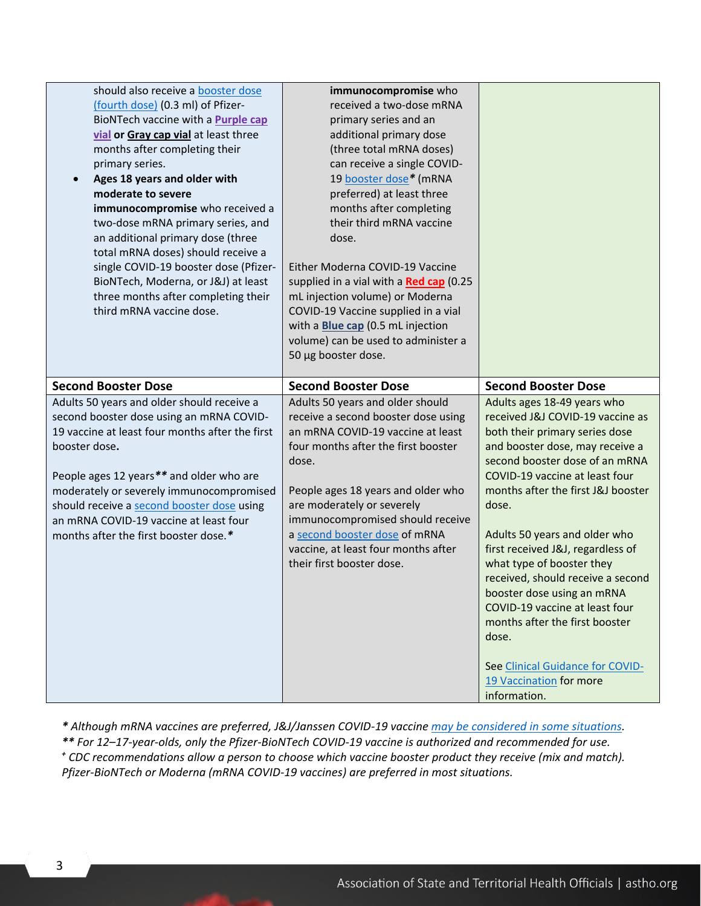| should also receive a booster dose                                                   | immunocompromise who                     |                                         |
|--------------------------------------------------------------------------------------|------------------------------------------|-----------------------------------------|
| (fourth dose) (0.3 ml) of Pfizer-                                                    | received a two-dose mRNA                 |                                         |
| BioNTech vaccine with a <b>Purple cap</b>                                            | primary series and an                    |                                         |
| vial or Gray cap vial at least three                                                 | additional primary dose                  |                                         |
| months after completing their                                                        | (three total mRNA doses)                 |                                         |
| primary series.                                                                      | can receive a single COVID-              |                                         |
| Ages 18 years and older with<br>$\bullet$                                            | 19 booster dose* (mRNA                   |                                         |
| moderate to severe                                                                   | preferred) at least three                |                                         |
| immunocompromise who received a                                                      | months after completing                  |                                         |
| two-dose mRNA primary series, and                                                    | their third mRNA vaccine                 |                                         |
| an additional primary dose (three                                                    | dose.                                    |                                         |
| total mRNA doses) should receive a                                                   |                                          |                                         |
| single COVID-19 booster dose (Pfizer-                                                | Either Moderna COVID-19 Vaccine          |                                         |
| BioNTech, Moderna, or J&J) at least                                                  | supplied in a vial with a Red cap (0.25  |                                         |
| three months after completing their                                                  | mL injection volume) or Moderna          |                                         |
| third mRNA vaccine dose.                                                             | COVID-19 Vaccine supplied in a vial      |                                         |
|                                                                                      | with a <b>Blue cap</b> (0.5 mL injection |                                         |
|                                                                                      | volume) can be used to administer a      |                                         |
|                                                                                      | 50 µg booster dose.                      |                                         |
|                                                                                      |                                          |                                         |
| <b>Second Booster Dose</b>                                                           | <b>Second Booster Dose</b>               | <b>Second Booster Dose</b>              |
|                                                                                      |                                          |                                         |
| Adults 50 years and older should receive a                                           | Adults 50 years and older should         | Adults ages 18-49 years who             |
| second booster dose using an mRNA COVID-                                             | receive a second booster dose using      | received J&J COVID-19 vaccine as        |
| 19 vaccine at least four months after the first                                      | an mRNA COVID-19 vaccine at least        | both their primary series dose          |
| booster dose.                                                                        | four months after the first booster      | and booster dose, may receive a         |
|                                                                                      | dose.                                    | second booster dose of an mRNA          |
|                                                                                      |                                          | COVID-19 vaccine at least four          |
| People ages 12 years** and older who are                                             | People ages 18 years and older who       | months after the first J&J booster      |
| moderately or severely immunocompromised                                             | are moderately or severely               | dose.                                   |
| should receive a second booster dose using<br>an mRNA COVID-19 vaccine at least four | immunocompromised should receive         |                                         |
|                                                                                      | a second booster dose of mRNA            | Adults 50 years and older who           |
| months after the first booster dose.*                                                | vaccine, at least four months after      | first received J&J, regardless of       |
|                                                                                      | their first booster dose.                | what type of booster they               |
|                                                                                      |                                          | received, should receive a second       |
|                                                                                      |                                          | booster dose using an mRNA              |
|                                                                                      |                                          | COVID-19 vaccine at least four          |
|                                                                                      |                                          | months after the first booster          |
|                                                                                      |                                          | dose.                                   |
|                                                                                      |                                          |                                         |
|                                                                                      |                                          | See Clinical Guidance for COVID-        |
|                                                                                      |                                          | 19 Vaccination for more<br>information. |

*\* Although mRNA vaccines are preferred, J&J/Janssen COVID-19 vaccine [may be considered in some situations.](https://www.cdc.gov/coronavirus/2019-ncov/vaccines/different-vaccines/janssen.html) \*\* For 12–17-year-olds, only the Pfizer-BioNTech COVID-19 vaccine is authorized and recommended for use.*

*<sup>+</sup> CDC recommendations allow a person to choose which vaccine booster product they receive (mix and match). Pfizer-BioNTech or Moderna (mRNA COVID-19 vaccines) are preferred in most situations.*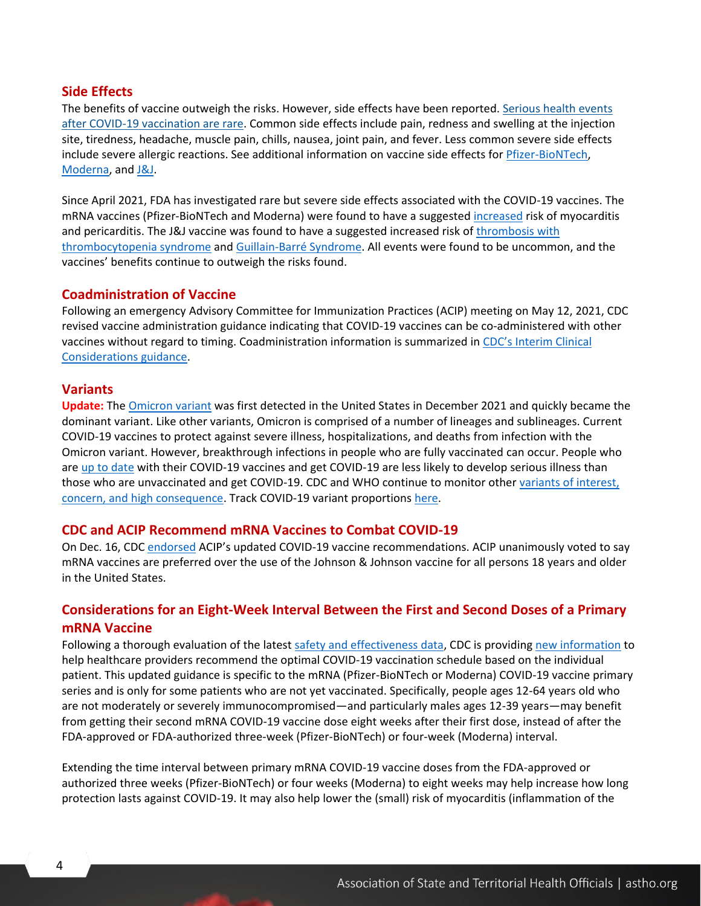#### **Side Effects**

The benefits of vaccine outweigh the risks. However, side effects have been reported. Serious [health events](https://www.cdc.gov/coronavirus/2019-ncov/vaccines/safety/safety-of-vaccines.html)  [after COVID-19 vaccination](https://www.cdc.gov/coronavirus/2019-ncov/vaccines/safety/safety-of-vaccines.html) are rare. Common side effects include pain, redness and swelling at the injection site, tiredness, headache, muscle pain, chills, nausea, joint pain, and fever. Less common severe side effects include severe allergic reactions. See additional information on vaccine side effects for *Pfizer-BioNTech*, [Moderna,](https://www.fda.gov/media/144638/download) and [J&J.](https://www.fda.gov/media/146305/download)

Since April 2021, FDA has investigated rare but severe side effects associated with the COVID-19 vaccines. The mRNA vaccines (Pfizer-BioNTech and Moderna) were found to have a suggested [increased](https://www.fda.gov/news-events/press-announcements/coronavirus-covid-19-update-june-25-2021) risk of myocarditis and pericarditis. The J&J vaccine was found to have a suggested increased risk of [thrombosis with](https://www.fda.gov/news-events/press-announcements/joint-cdc-and-fda-statement-johnson-johnson-covid-19-vaccine)  [thrombocytopenia syndrome](https://www.fda.gov/news-events/press-announcements/joint-cdc-and-fda-statement-johnson-johnson-covid-19-vaccine) and [Guillain-Barré Syndrome.](https://www.fda.gov/news-events/press-announcements/coronavirus-covid-19-update-july-13-2021) All events were found to be uncommon, and the vaccines' benefits continue to outweigh the risks found.

#### **Coadministration of Vaccine**

Following an emergency Advisory Committee for Immunization Practices (ACIP) meeting on May 12, 2021, CDC revised vaccine administration guidance indicating that COVID-19 vaccines can be co-administered with other vaccines without regard to timing. Coadministration information is summarized in [CDC's Interim Clinical](https://www.cdc.gov/vaccines/covid-19/clinical-considerations/covid-19-vaccines-us.html)  [Considerations guidance.](https://www.cdc.gov/vaccines/covid-19/clinical-considerations/covid-19-vaccines-us.html)

#### **Variants**

**Update:** The [Omicron variant](https://www.cdc.gov/coronavirus/2019-ncov/variants/omicron-variant.html) was first detected in the United States in December 2021 and quickly became the dominant variant. Like other variants, Omicron is comprised of a number of lineages and sublineages. Current COVID-19 vaccines to protect against severe illness, hospitalizations, and deaths from infection with the Omicron variant. However, breakthrough infections in people who are fully vaccinated can occur. People who are [up to date](https://www.cdc.gov/coronavirus/2019-ncov/vaccines/stay-up-to-date.html) with their COVID-19 vaccines and get COVID-19 are less likely to develop serious illness than those who are unvaccinated and get COVID-19. CDC and WHO continue to monitor other [variants of interest,](https://www.cdc.gov/coronavirus/2019-ncov/variants/variant-info.html)  concern, [and high consequence.](https://www.cdc.gov/coronavirus/2019-ncov/variants/variant-info.html) Track COVID-19 variant proportions [here.](https://covid.cdc.gov/covid-data-tracker/#variant-proportions)

#### **CDC and ACIP Recommend mRNA Vaccines to Combat COVID-19**

On Dec. 16, CDC [endorsed](https://www.cdc.gov/media/releases/2021/s1216-covid-19-vaccines.html) ACIP's updated COVID-19 vaccine recommendations. ACIP unanimously voted to say mRNA vaccines are preferred over the use of the Johnson & Johnson vaccine for all persons 18 years and older in the United States.

#### **Considerations for an Eight-Week Interval Between the First and Second Doses of a Primary mRNA Vaccine**

Following a thorough evaluation of the latest [safety and effectiveness data,](https://www.cdc.gov/vaccines/acip/meetings/downloads/slides-2022-02-04/11-COVID-Moulia-508.pdf) CDC is providing [new information](https://www.cdc.gov/vaccines/covid-19/clinical-considerations/covid-19-vaccines-us.html) to help healthcare providers recommend the optimal COVID-19 vaccination schedule based on the individual patient. This updated guidance is specific to the mRNA (Pfizer-BioNTech or Moderna) COVID-19 vaccine primary series and is only for some patients who are not yet vaccinated. Specifically, people ages 12-64 years old who are not moderately or severely immunocompromised—and particularly males ages 12-39 years—may benefit from getting their second mRNA COVID-19 vaccine dose eight weeks after their first dose, instead of after the FDA-approved or FDA-authorized three-week (Pfizer-BioNTech) or four-week (Moderna) interval.

Extending the time interval between primary mRNA COVID-19 vaccine doses from the FDA-approved or authorized three weeks (Pfizer-BioNTech) or four weeks (Moderna) to eight weeks may help increase how long protection lasts against COVID-19. It may also help lower the (small) risk of myocarditis (inflammation of the